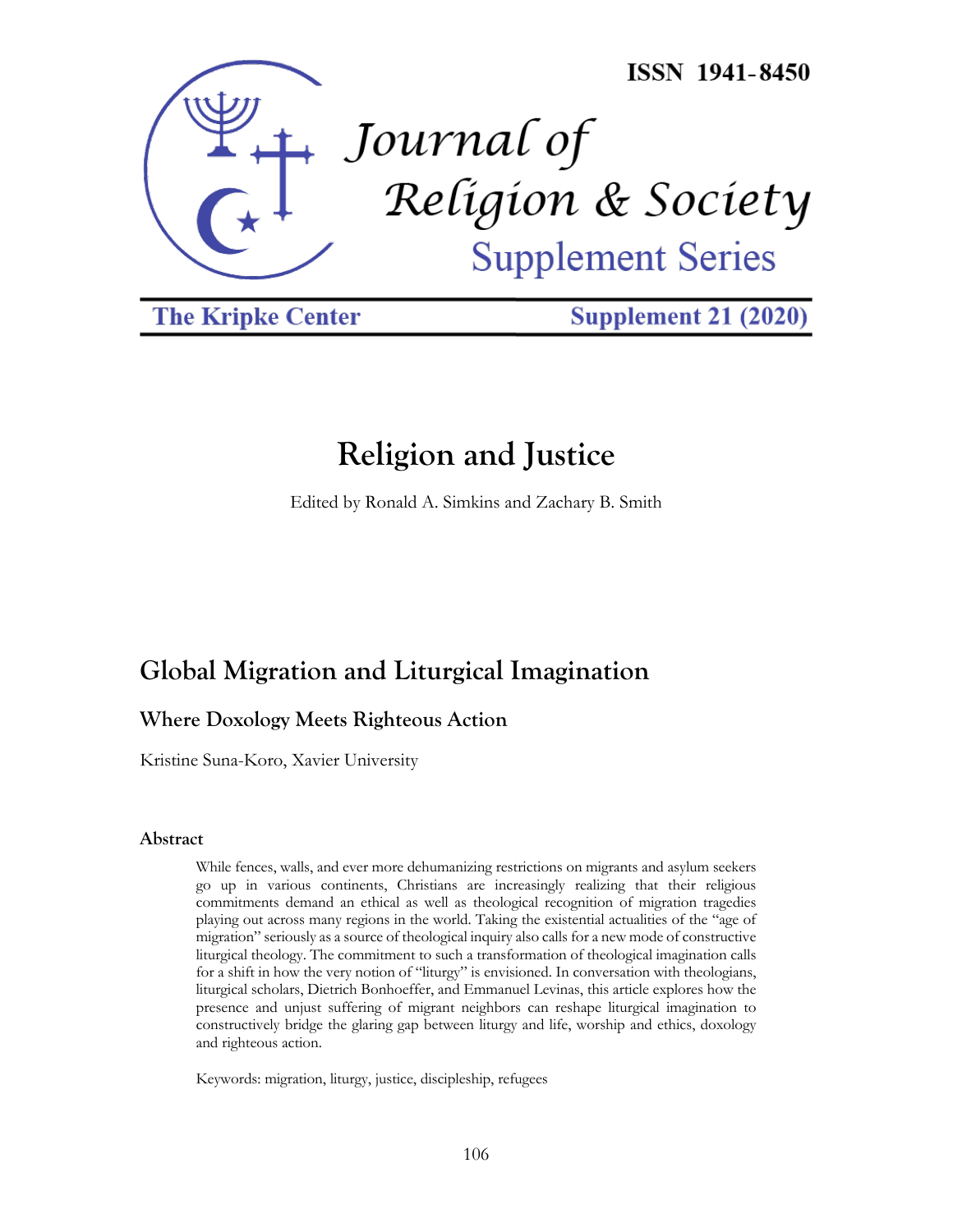

**The Kripke Center** 

**Supplement 21 (2020)** 

# **Religion and Justice**

Edited by Ronald A. Simkins and Zachary B. Smith

# **Global Migration and Liturgical Imagination**

# **Where Doxology Meets Righteous Action**

Kristine Suna-Koro, Xavier University

# **Abstract**

While fences, walls, and ever more dehumanizing restrictions on migrants and asylum seekers go up in various continents, Christians are increasingly realizing that their religious commitments demand an ethical as well as theological recognition of migration tragedies playing out across many regions in the world. Taking the existential actualities of the "age of migration" seriously as a source of theological inquiry also calls for a new mode of constructive liturgical theology. The commitment to such a transformation of theological imagination calls for a shift in how the very notion of "liturgy" is envisioned. In conversation with theologians, liturgical scholars, Dietrich Bonhoeffer, and Emmanuel Levinas, this article explores how the presence and unjust suffering of migrant neighbors can reshape liturgical imagination to constructively bridge the glaring gap between liturgy and life, worship and ethics, doxology and righteous action.

Keywords: migration, liturgy, justice, discipleship, refugees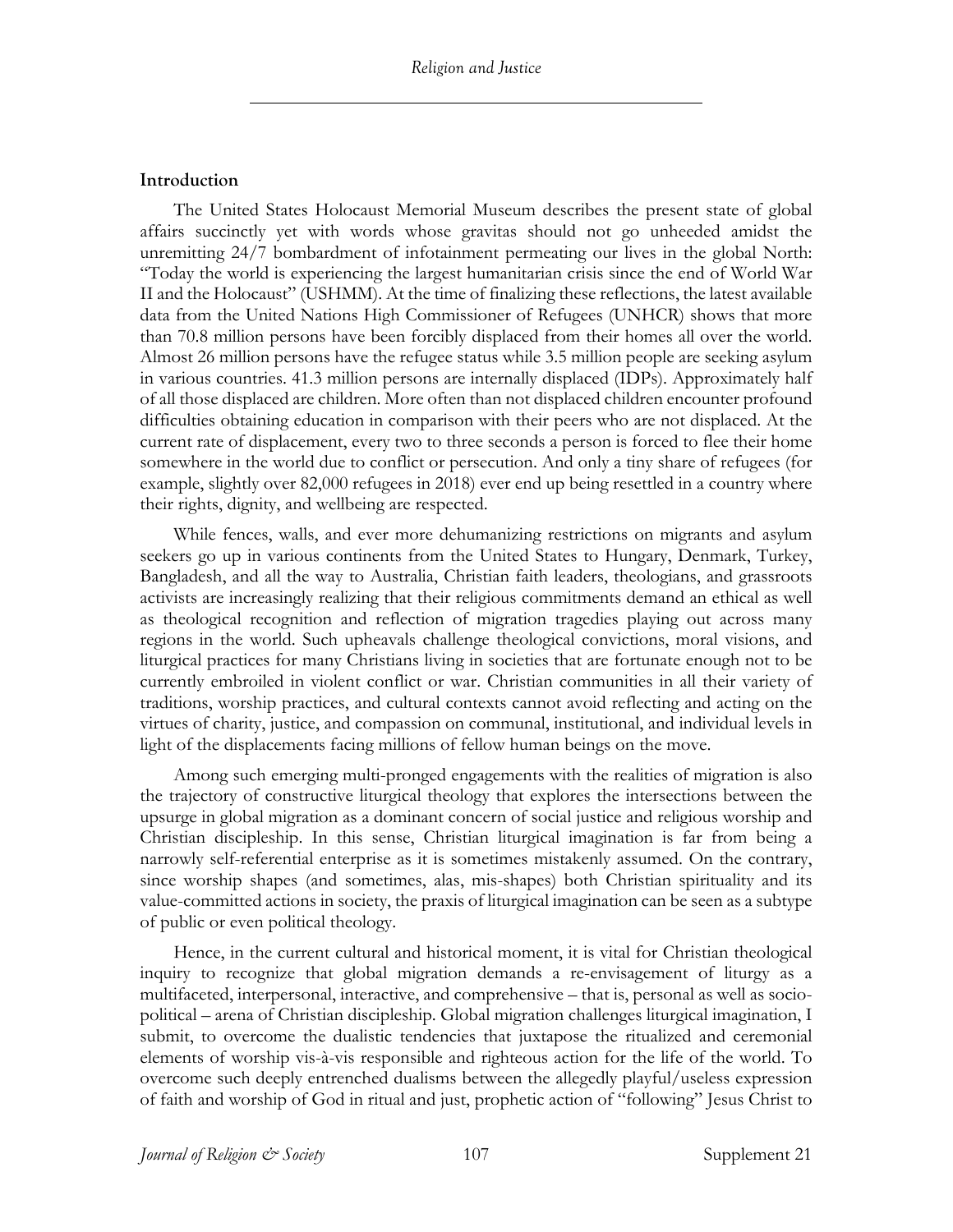#### **Introduction**

The United States Holocaust Memorial Museum describes the present state of global affairs succinctly yet with words whose gravitas should not go unheeded amidst the unremitting 24/7 bombardment of infotainment permeating our lives in the global North: "Today the world is experiencing the largest humanitarian crisis since the end of World War II and the Holocaust" (USHMM). At the time of finalizing these reflections, the latest available data from the United Nations High Commissioner of Refugees (UNHCR) shows that more than 70.8 million persons have been forcibly displaced from their homes all over the world. Almost 26 million persons have the refugee status while 3.5 million people are seeking asylum in various countries. 41.3 million persons are internally displaced (IDPs). Approximately half of all those displaced are children. More often than not displaced children encounter profound difficulties obtaining education in comparison with their peers who are not displaced. At the current rate of displacement, every two to three seconds a person is forced to flee their home somewhere in the world due to conflict or persecution. And only a tiny share of refugees (for example, slightly over 82,000 refugees in 2018) ever end up being resettled in a country where their rights, dignity, and wellbeing are respected.

While fences, walls, and ever more dehumanizing restrictions on migrants and asylum seekers go up in various continents from the United States to Hungary, Denmark, Turkey, Bangladesh, and all the way to Australia, Christian faith leaders, theologians, and grassroots activists are increasingly realizing that their religious commitments demand an ethical as well as theological recognition and reflection of migration tragedies playing out across many regions in the world. Such upheavals challenge theological convictions, moral visions, and liturgical practices for many Christians living in societies that are fortunate enough not to be currently embroiled in violent conflict or war. Christian communities in all their variety of traditions, worship practices, and cultural contexts cannot avoid reflecting and acting on the virtues of charity, justice, and compassion on communal, institutional, and individual levels in light of the displacements facing millions of fellow human beings on the move.

Among such emerging multi-pronged engagements with the realities of migration is also the trajectory of constructive liturgical theology that explores the intersections between the upsurge in global migration as a dominant concern of social justice and religious worship and Christian discipleship. In this sense, Christian liturgical imagination is far from being a narrowly self-referential enterprise as it is sometimes mistakenly assumed. On the contrary, since worship shapes (and sometimes, alas, mis-shapes) both Christian spirituality and its value-committed actions in society, the praxis of liturgical imagination can be seen as a subtype of public or even political theology.

Hence, in the current cultural and historical moment, it is vital for Christian theological inquiry to recognize that global migration demands a re-envisagement of liturgy as a multifaceted, interpersonal, interactive, and comprehensive – that is, personal as well as sociopolitical – arena of Christian discipleship. Global migration challenges liturgical imagination, I submit, to overcome the dualistic tendencies that juxtapose the ritualized and ceremonial elements of worship vis-à-vis responsible and righteous action for the life of the world. To overcome such deeply entrenched dualisms between the allegedly playful/useless expression of faith and worship of God in ritual and just, prophetic action of "following" Jesus Christ to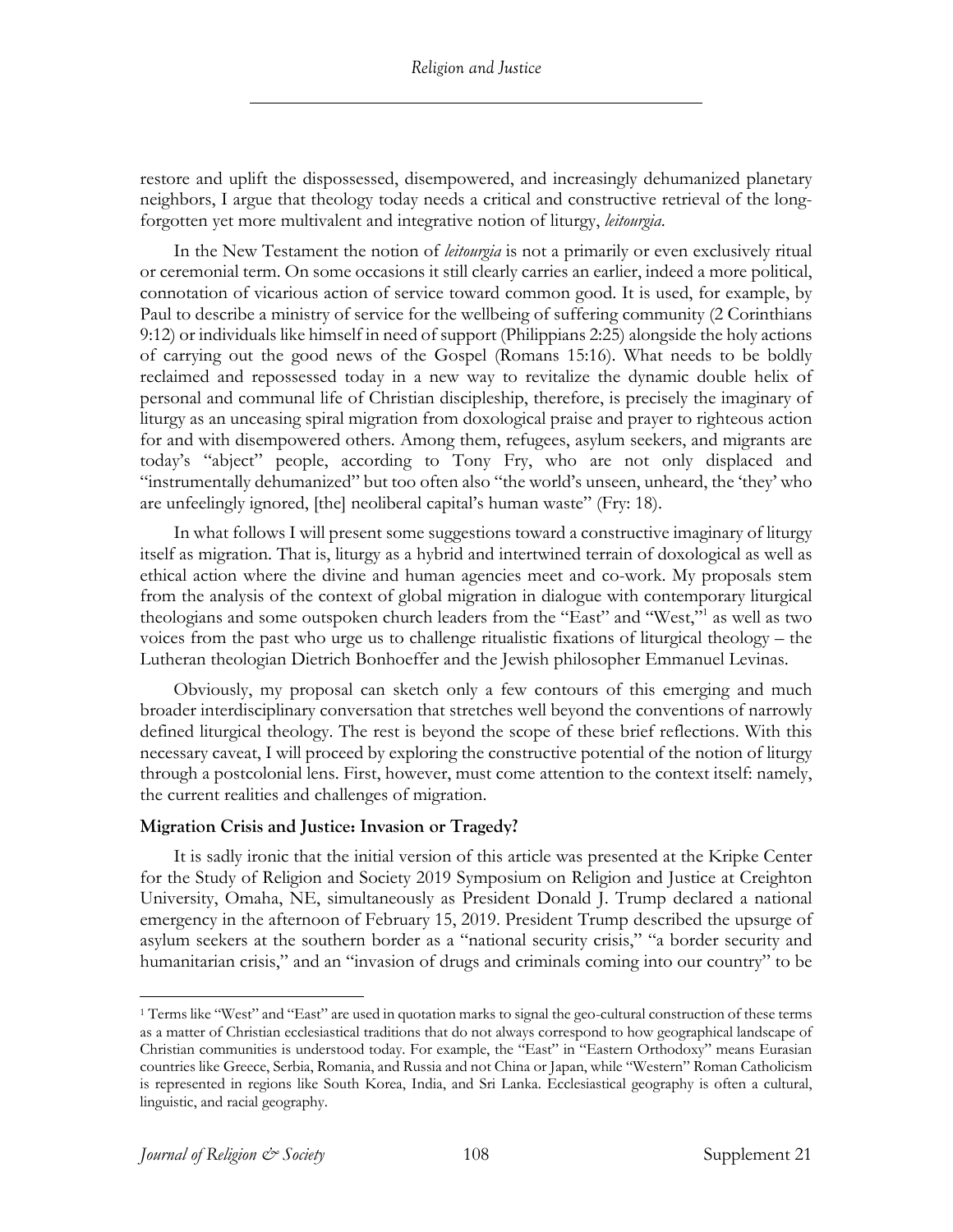restore and uplift the dispossessed, disempowered, and increasingly dehumanized planetary neighbors, I argue that theology today needs a critical and constructive retrieval of the longforgotten yet more multivalent and integrative notion of liturgy, *leitourgia*.

In the New Testament the notion of *leitourgia* is not a primarily or even exclusively ritual or ceremonial term. On some occasions it still clearly carries an earlier, indeed a more political, connotation of vicarious action of service toward common good. It is used, for example, by Paul to describe a ministry of service for the wellbeing of suffering community (2 Corinthians 9:12) or individuals like himself in need of support (Philippians 2:25) alongside the holy actions of carrying out the good news of the Gospel (Romans 15:16). What needs to be boldly reclaimed and repossessed today in a new way to revitalize the dynamic double helix of personal and communal life of Christian discipleship, therefore, is precisely the imaginary of liturgy as an unceasing spiral migration from doxological praise and prayer to righteous action for and with disempowered others. Among them, refugees, asylum seekers, and migrants are today's "abject" people, according to Tony Fry, who are not only displaced and "instrumentally dehumanized" but too often also "the world's unseen, unheard, the 'they' who are unfeelingly ignored, [the] neoliberal capital's human waste" (Fry: 18).

In what follows I will present some suggestions toward a constructive imaginary of liturgy itself as migration. That is, liturgy as a hybrid and intertwined terrain of doxological as well as ethical action where the divine and human agencies meet and co-work. My proposals stem from the analysis of the context of global migration in dialogue with contemporary liturgical theologians and some outspoken church leaders from the "East" and "West,"1 as well as two voices from the past who urge us to challenge ritualistic fixations of liturgical theology – the Lutheran theologian Dietrich Bonhoeffer and the Jewish philosopher Emmanuel Levinas.

Obviously, my proposal can sketch only a few contours of this emerging and much broader interdisciplinary conversation that stretches well beyond the conventions of narrowly defined liturgical theology. The rest is beyond the scope of these brief reflections. With this necessary caveat, I will proceed by exploring the constructive potential of the notion of liturgy through a postcolonial lens. First, however, must come attention to the context itself: namely, the current realities and challenges of migration.

#### **Migration Crisis and Justice: Invasion or Tragedy?**

It is sadly ironic that the initial version of this article was presented at the Kripke Center for the Study of Religion and Society 2019 Symposium on Religion and Justice at Creighton University, Omaha, NE, simultaneously as President Donald J. Trump declared a national emergency in the afternoon of February 15, 2019. President Trump described the upsurge of asylum seekers at the southern border as a "national security crisis," "a border security and humanitarian crisis," and an "invasion of drugs and criminals coming into our country" to be

<sup>1</sup> Terms like "West" and "East" are used in quotation marks to signal the geo-cultural construction of these terms as a matter of Christian ecclesiastical traditions that do not always correspond to how geographical landscape of Christian communities is understood today. For example, the "East" in "Eastern Orthodoxy" means Eurasian countries like Greece, Serbia, Romania, and Russia and not China or Japan, while "Western" Roman Catholicism is represented in regions like South Korea, India, and Sri Lanka. Ecclesiastical geography is often a cultural, linguistic, and racial geography.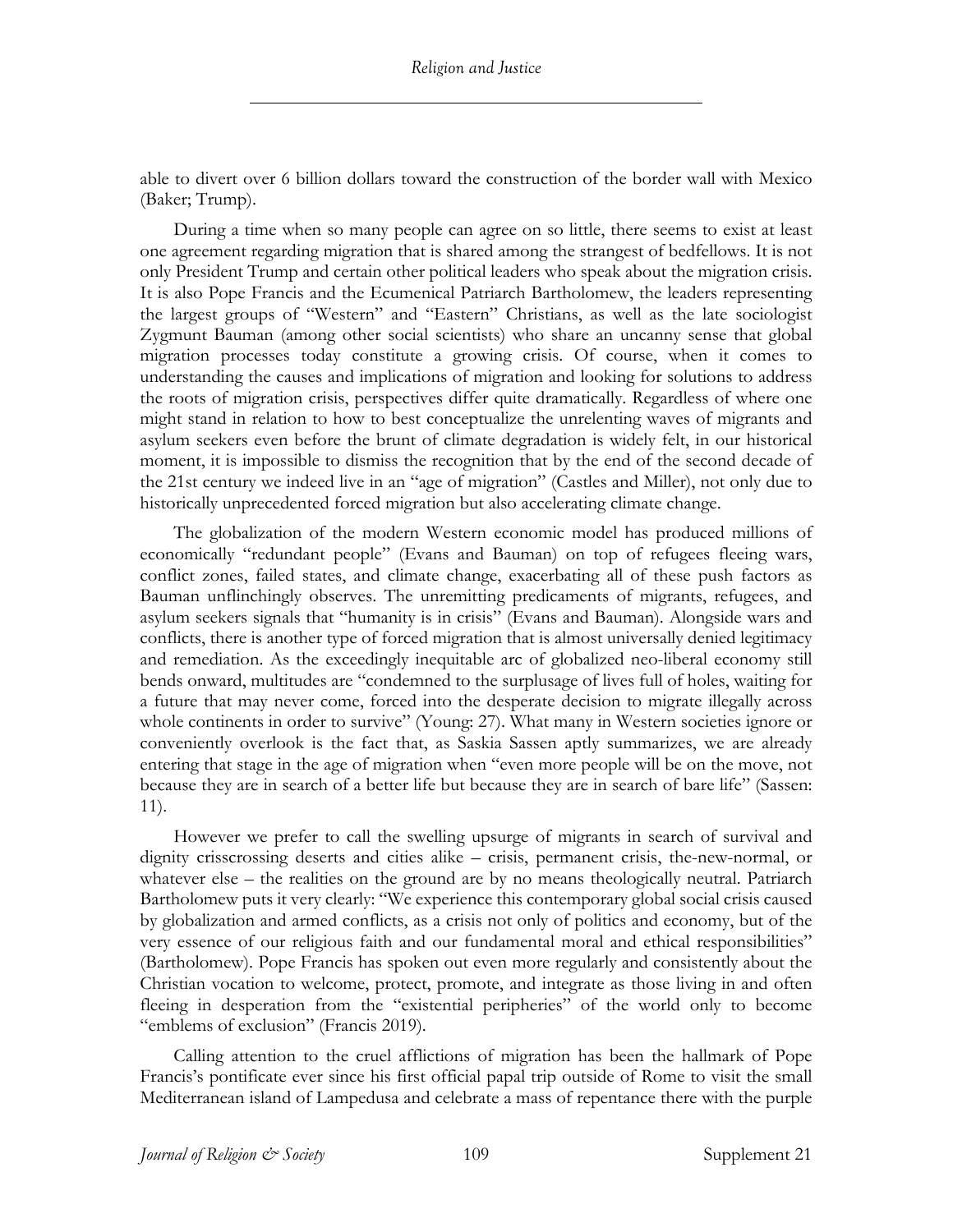able to divert over 6 billion dollars toward the construction of the border wall with Mexico (Baker; Trump).

During a time when so many people can agree on so little, there seems to exist at least one agreement regarding migration that is shared among the strangest of bedfellows. It is not only President Trump and certain other political leaders who speak about the migration crisis. It is also Pope Francis and the Ecumenical Patriarch Bartholomew, the leaders representing the largest groups of "Western" and "Eastern" Christians, as well as the late sociologist Zygmunt Bauman (among other social scientists) who share an uncanny sense that global migration processes today constitute a growing crisis. Of course, when it comes to understanding the causes and implications of migration and looking for solutions to address the roots of migration crisis, perspectives differ quite dramatically. Regardless of where one might stand in relation to how to best conceptualize the unrelenting waves of migrants and asylum seekers even before the brunt of climate degradation is widely felt, in our historical moment, it is impossible to dismiss the recognition that by the end of the second decade of the 21st century we indeed live in an "age of migration" (Castles and Miller), not only due to historically unprecedented forced migration but also accelerating climate change.

The globalization of the modern Western economic model has produced millions of economically "redundant people" (Evans and Bauman) on top of refugees fleeing wars, conflict zones, failed states, and climate change, exacerbating all of these push factors as Bauman unflinchingly observes. The unremitting predicaments of migrants, refugees, and asylum seekers signals that "humanity is in crisis" (Evans and Bauman). Alongside wars and conflicts, there is another type of forced migration that is almost universally denied legitimacy and remediation. As the exceedingly inequitable arc of globalized neo-liberal economy still bends onward, multitudes are "condemned to the surplusage of lives full of holes, waiting for a future that may never come, forced into the desperate decision to migrate illegally across whole continents in order to survive" (Young: 27). What many in Western societies ignore or conveniently overlook is the fact that, as Saskia Sassen aptly summarizes, we are already entering that stage in the age of migration when "even more people will be on the move, not because they are in search of a better life but because they are in search of bare life" (Sassen: 11).

However we prefer to call the swelling upsurge of migrants in search of survival and dignity crisscrossing deserts and cities alike – crisis, permanent crisis, the-new-normal, or whatever else – the realities on the ground are by no means theologically neutral. Patriarch Bartholomew puts it very clearly: "We experience this contemporary global social crisis caused by globalization and armed conflicts, as a crisis not only of politics and economy, but of the very essence of our religious faith and our fundamental moral and ethical responsibilities" (Bartholomew). Pope Francis has spoken out even more regularly and consistently about the Christian vocation to welcome, protect, promote, and integrate as those living in and often fleeing in desperation from the "existential peripheries" of the world only to become "emblems of exclusion" (Francis 2019).

Calling attention to the cruel afflictions of migration has been the hallmark of Pope Francis's pontificate ever since his first official papal trip outside of Rome to visit the small Mediterranean island of Lampedusa and celebrate a mass of repentance there with the purple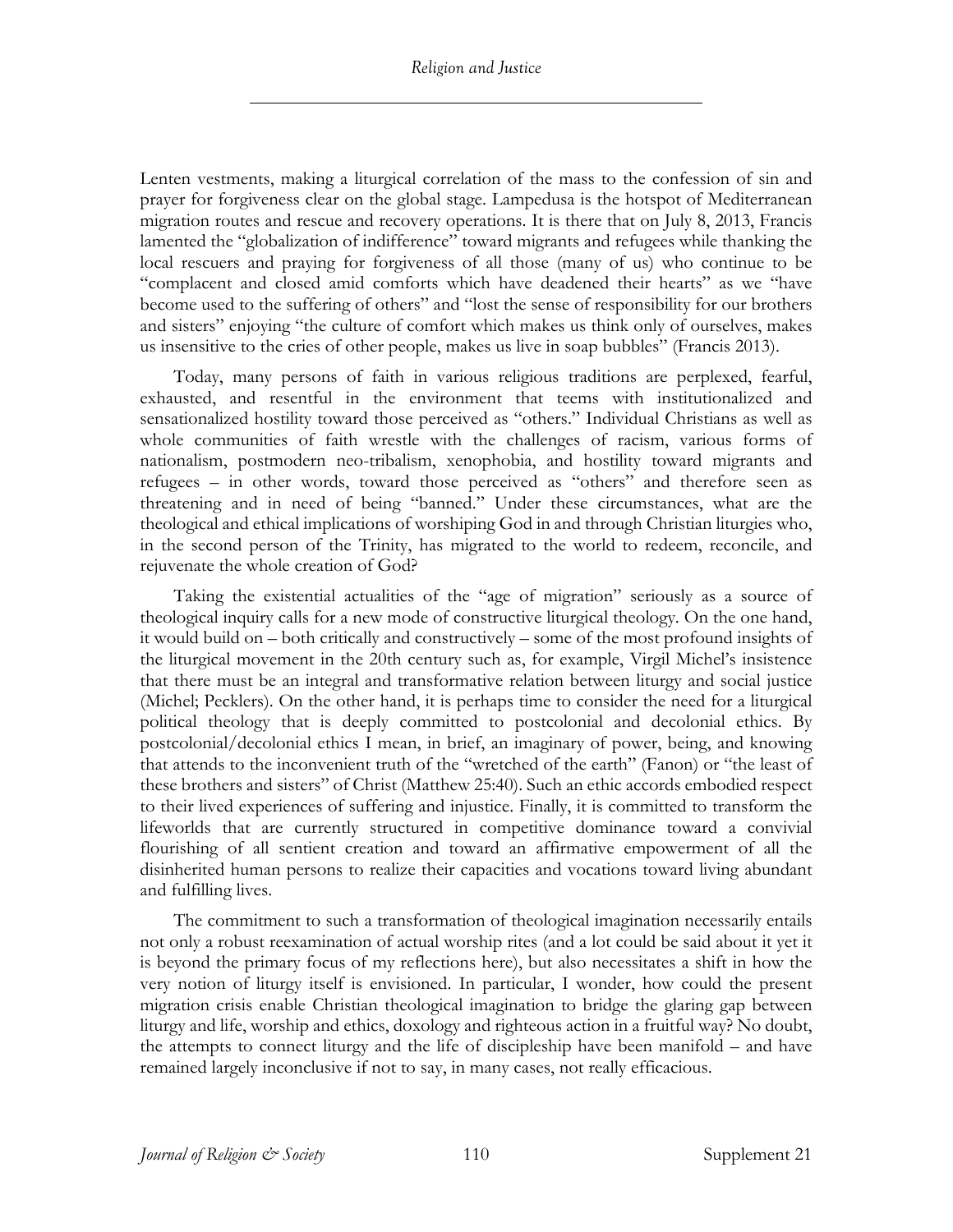Lenten vestments, making a liturgical correlation of the mass to the confession of sin and prayer for forgiveness clear on the global stage. Lampedusa is the hotspot of Mediterranean migration routes and rescue and recovery operations. It is there that on July 8, 2013, Francis lamented the "globalization of indifference" toward migrants and refugees while thanking the local rescuers and praying for forgiveness of all those (many of us) who continue to be "complacent and closed amid comforts which have deadened their hearts" as we "have become used to the suffering of others" and "lost the sense of responsibility for our brothers and sisters" enjoying "the culture of comfort which makes us think only of ourselves, makes us insensitive to the cries of other people, makes us live in soap bubbles" (Francis 2013).

Today, many persons of faith in various religious traditions are perplexed, fearful, exhausted, and resentful in the environment that teems with institutionalized and sensationalized hostility toward those perceived as "others." Individual Christians as well as whole communities of faith wrestle with the challenges of racism, various forms of nationalism, postmodern neo-tribalism, xenophobia, and hostility toward migrants and refugees – in other words, toward those perceived as "others" and therefore seen as threatening and in need of being "banned." Under these circumstances, what are the theological and ethical implications of worshiping God in and through Christian liturgies who, in the second person of the Trinity, has migrated to the world to redeem, reconcile, and rejuvenate the whole creation of God?

Taking the existential actualities of the "age of migration" seriously as a source of theological inquiry calls for a new mode of constructive liturgical theology. On the one hand, it would build on – both critically and constructively – some of the most profound insights of the liturgical movement in the 20th century such as, for example, Virgil Michel's insistence that there must be an integral and transformative relation between liturgy and social justice (Michel; Pecklers). On the other hand, it is perhaps time to consider the need for a liturgical political theology that is deeply committed to postcolonial and decolonial ethics. By postcolonial/decolonial ethics I mean, in brief, an imaginary of power, being, and knowing that attends to the inconvenient truth of the "wretched of the earth" (Fanon) or "the least of these brothers and sisters" of Christ (Matthew 25:40). Such an ethic accords embodied respect to their lived experiences of suffering and injustice. Finally, it is committed to transform the lifeworlds that are currently structured in competitive dominance toward a convivial flourishing of all sentient creation and toward an affirmative empowerment of all the disinherited human persons to realize their capacities and vocations toward living abundant and fulfilling lives.

The commitment to such a transformation of theological imagination necessarily entails not only a robust reexamination of actual worship rites (and a lot could be said about it yet it is beyond the primary focus of my reflections here), but also necessitates a shift in how the very notion of liturgy itself is envisioned. In particular, I wonder, how could the present migration crisis enable Christian theological imagination to bridge the glaring gap between liturgy and life, worship and ethics, doxology and righteous action in a fruitful way? No doubt, the attempts to connect liturgy and the life of discipleship have been manifold – and have remained largely inconclusive if not to say, in many cases, not really efficacious.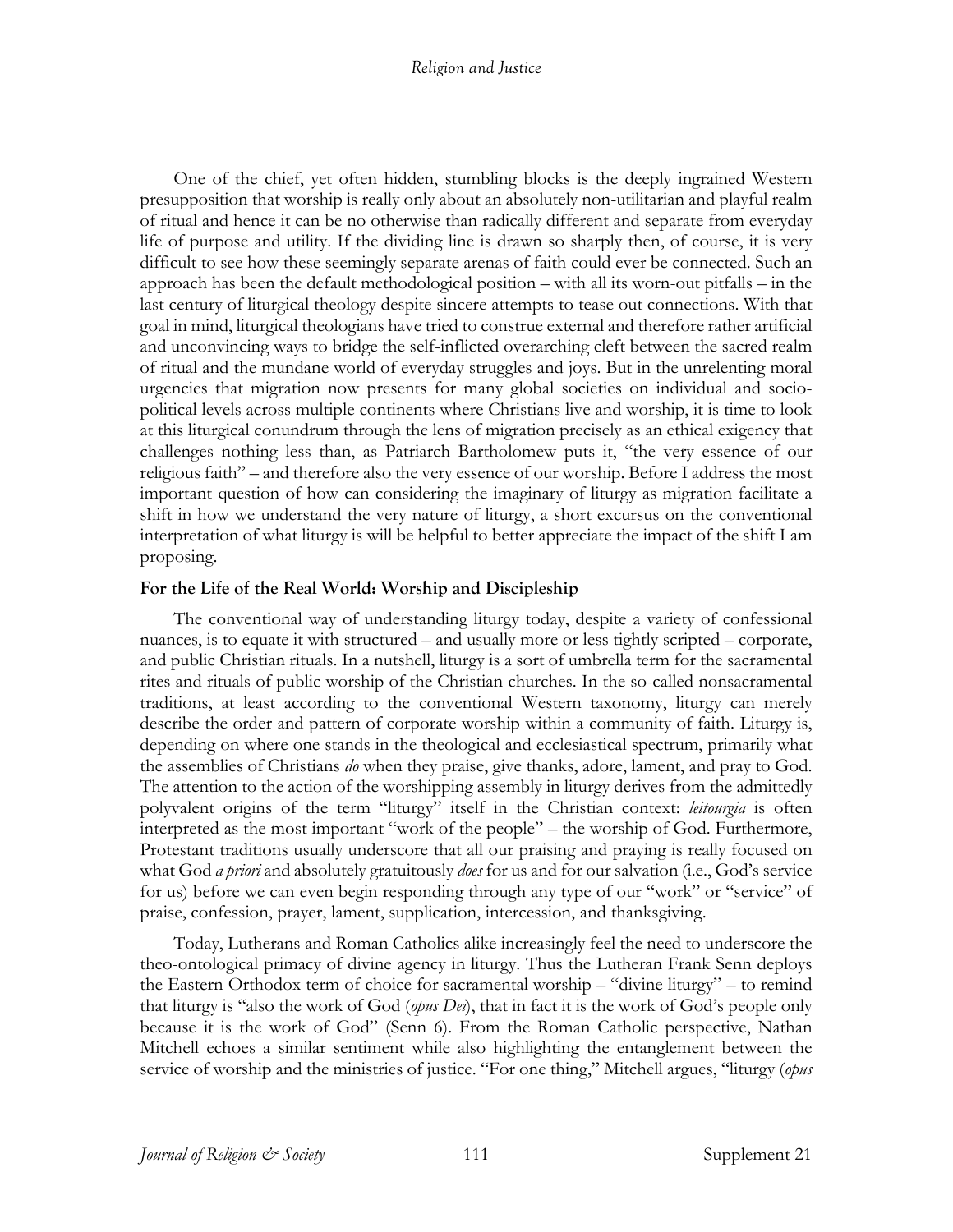One of the chief, yet often hidden, stumbling blocks is the deeply ingrained Western presupposition that worship is really only about an absolutely non-utilitarian and playful realm of ritual and hence it can be no otherwise than radically different and separate from everyday life of purpose and utility. If the dividing line is drawn so sharply then, of course, it is very difficult to see how these seemingly separate arenas of faith could ever be connected. Such an approach has been the default methodological position – with all its worn-out pitfalls – in the last century of liturgical theology despite sincere attempts to tease out connections. With that goal in mind, liturgical theologians have tried to construe external and therefore rather artificial and unconvincing ways to bridge the self-inflicted overarching cleft between the sacred realm of ritual and the mundane world of everyday struggles and joys. But in the unrelenting moral urgencies that migration now presents for many global societies on individual and sociopolitical levels across multiple continents where Christians live and worship, it is time to look at this liturgical conundrum through the lens of migration precisely as an ethical exigency that challenges nothing less than, as Patriarch Bartholomew puts it, "the very essence of our religious faith" – and therefore also the very essence of our worship. Before I address the most important question of how can considering the imaginary of liturgy as migration facilitate a shift in how we understand the very nature of liturgy, a short excursus on the conventional interpretation of what liturgy is will be helpful to better appreciate the impact of the shift I am proposing.

# **For the Life of the Real World: Worship and Discipleship**

The conventional way of understanding liturgy today, despite a variety of confessional nuances, is to equate it with structured – and usually more or less tightly scripted – corporate, and public Christian rituals. In a nutshell, liturgy is a sort of umbrella term for the sacramental rites and rituals of public worship of the Christian churches. In the so-called nonsacramental traditions, at least according to the conventional Western taxonomy, liturgy can merely describe the order and pattern of corporate worship within a community of faith. Liturgy is, depending on where one stands in the theological and ecclesiastical spectrum, primarily what the assemblies of Christians *do* when they praise, give thanks, adore, lament, and pray to God. The attention to the action of the worshipping assembly in liturgy derives from the admittedly polyvalent origins of the term "liturgy" itself in the Christian context: *leitourgia* is often interpreted as the most important "work of the people" – the worship of God. Furthermore, Protestant traditions usually underscore that all our praising and praying is really focused on what God *a priori* and absolutely gratuitously *does* for us and for our salvation (i.e., God's service for us) before we can even begin responding through any type of our "work" or "service" of praise, confession, prayer, lament, supplication, intercession, and thanksgiving.

Today, Lutherans and Roman Catholics alike increasingly feel the need to underscore the theo-ontological primacy of divine agency in liturgy. Thus the Lutheran Frank Senn deploys the Eastern Orthodox term of choice for sacramental worship – "divine liturgy" – to remind that liturgy is "also the work of God (*opus Dei*), that in fact it is the work of God's people only because it is the work of God" (Senn 6). From the Roman Catholic perspective, Nathan Mitchell echoes a similar sentiment while also highlighting the entanglement between the service of worship and the ministries of justice. "For one thing," Mitchell argues, "liturgy (*opus*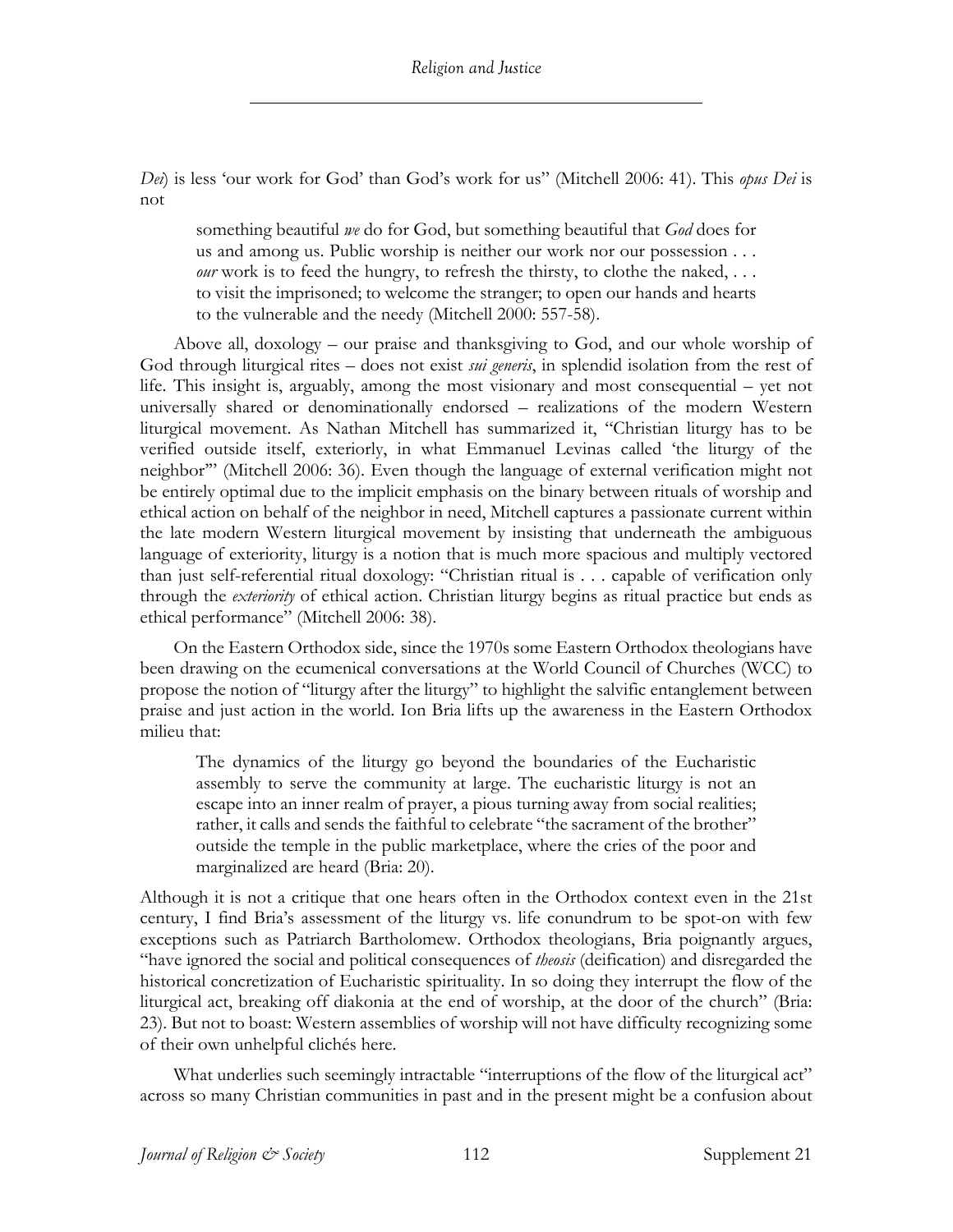*Dei*) is less 'our work for God' than God's work for us" (Mitchell 2006: 41). This *opus Dei* is not

something beautiful *we* do for God, but something beautiful that *God* does for us and among us. Public worship is neither our work nor our possession . . . *our* work is to feed the hungry, to refresh the thirsty, to clothe the naked, ... to visit the imprisoned; to welcome the stranger; to open our hands and hearts to the vulnerable and the needy (Mitchell 2000: 557-58).

Above all, doxology – our praise and thanksgiving to God, and our whole worship of God through liturgical rites – does not exist *sui generis*, in splendid isolation from the rest of life. This insight is, arguably, among the most visionary and most consequential – yet not universally shared or denominationally endorsed – realizations of the modern Western liturgical movement. As Nathan Mitchell has summarized it, "Christian liturgy has to be verified outside itself, exteriorly, in what Emmanuel Levinas called 'the liturgy of the neighbor'" (Mitchell 2006: 36). Even though the language of external verification might not be entirely optimal due to the implicit emphasis on the binary between rituals of worship and ethical action on behalf of the neighbor in need, Mitchell captures a passionate current within the late modern Western liturgical movement by insisting that underneath the ambiguous language of exteriority, liturgy is a notion that is much more spacious and multiply vectored than just self-referential ritual doxology: "Christian ritual is . . . capable of verification only through the *exteriority* of ethical action. Christian liturgy begins as ritual practice but ends as ethical performance" (Mitchell 2006: 38).

On the Eastern Orthodox side, since the 1970s some Eastern Orthodox theologians have been drawing on the ecumenical conversations at the World Council of Churches (WCC) to propose the notion of "liturgy after the liturgy" to highlight the salvific entanglement between praise and just action in the world. Ion Bria lifts up the awareness in the Eastern Orthodox milieu that:

The dynamics of the liturgy go beyond the boundaries of the Eucharistic assembly to serve the community at large. The eucharistic liturgy is not an escape into an inner realm of prayer, a pious turning away from social realities; rather, it calls and sends the faithful to celebrate "the sacrament of the brother" outside the temple in the public marketplace, where the cries of the poor and marginalized are heard (Bria: 20).

Although it is not a critique that one hears often in the Orthodox context even in the 21st century, I find Bria's assessment of the liturgy vs. life conundrum to be spot-on with few exceptions such as Patriarch Bartholomew. Orthodox theologians, Bria poignantly argues, "have ignored the social and political consequences of *theosis* (deification) and disregarded the historical concretization of Eucharistic spirituality. In so doing they interrupt the flow of the liturgical act, breaking off diakonia at the end of worship, at the door of the church" (Bria: 23). But not to boast: Western assemblies of worship will not have difficulty recognizing some of their own unhelpful clichés here.

What underlies such seemingly intractable "interruptions of the flow of the liturgical act" across so many Christian communities in past and in the present might be a confusion about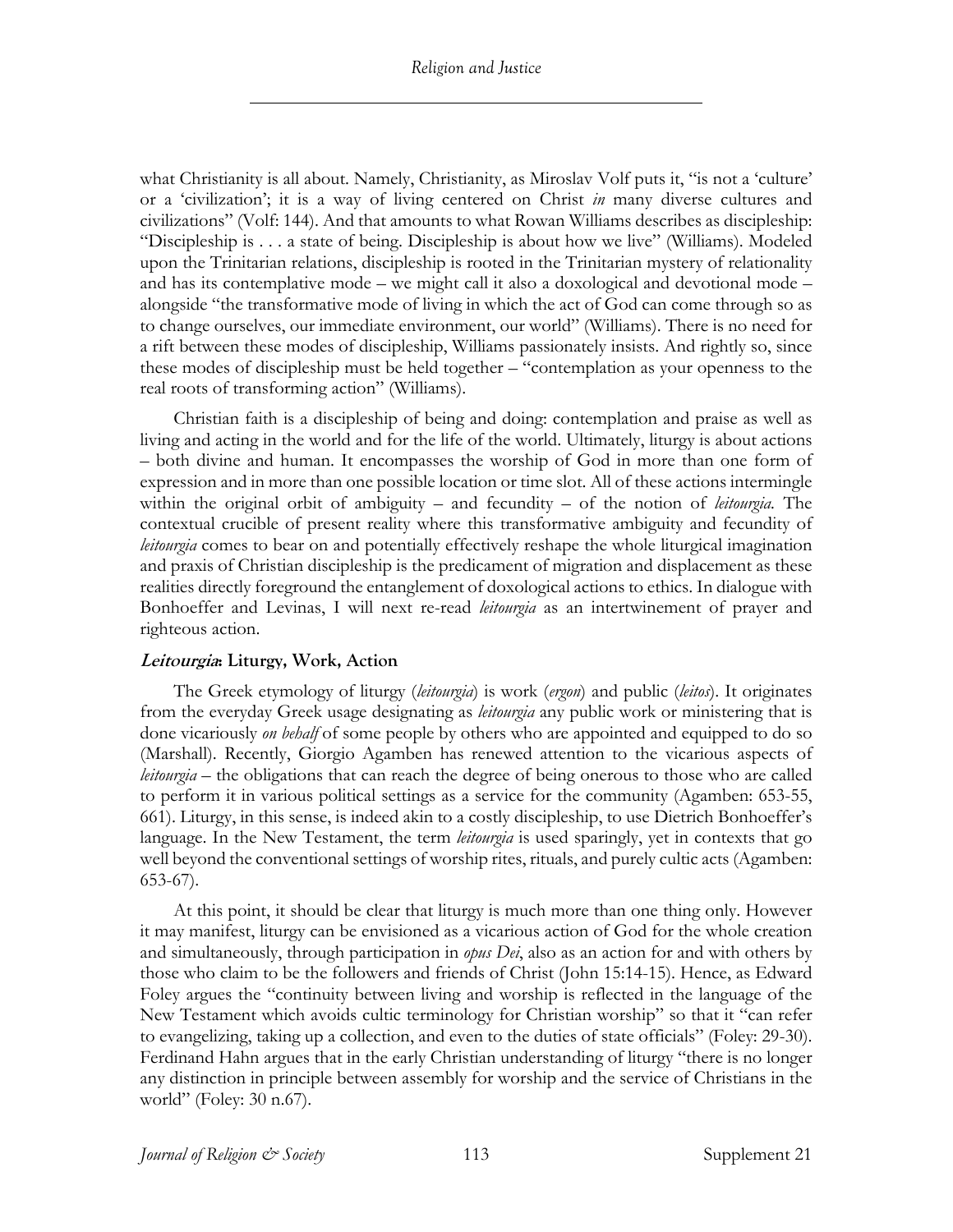what Christianity is all about. Namely, Christianity, as Miroslav Volf puts it, "is not a 'culture' or a 'civilization'; it is a way of living centered on Christ *in* many diverse cultures and civilizations" (Volf: 144). And that amounts to what Rowan Williams describes as discipleship: "Discipleship is . . . a state of being. Discipleship is about how we live" (Williams). Modeled upon the Trinitarian relations, discipleship is rooted in the Trinitarian mystery of relationality and has its contemplative mode – we might call it also a doxological and devotional mode – alongside "the transformative mode of living in which the act of God can come through so as to change ourselves, our immediate environment, our world" (Williams). There is no need for a rift between these modes of discipleship, Williams passionately insists. And rightly so, since these modes of discipleship must be held together – "contemplation as your openness to the real roots of transforming action" (Williams).

Christian faith is a discipleship of being and doing: contemplation and praise as well as living and acting in the world and for the life of the world. Ultimately, liturgy is about actions – both divine and human. It encompasses the worship of God in more than one form of expression and in more than one possible location or time slot. All of these actions intermingle within the original orbit of ambiguity – and fecundity – of the notion of *leitourgia.* The contextual crucible of present reality where this transformative ambiguity and fecundity of *leitourgia* comes to bear on and potentially effectively reshape the whole liturgical imagination and praxis of Christian discipleship is the predicament of migration and displacement as these realities directly foreground the entanglement of doxological actions to ethics. In dialogue with Bonhoeffer and Levinas, I will next re-read *leitourgia* as an intertwinement of prayer and righteous action.

# **Leitourgia: Liturgy, Work, Action**

The Greek etymology of liturgy (*leitourgia*) is work (*ergon*) and public (*leitos*). It originates from the everyday Greek usage designating as *leitourgia* any public work or ministering that is done vicariously *on behalf* of some people by others who are appointed and equipped to do so (Marshall). Recently, Giorgio Agamben has renewed attention to the vicarious aspects of *leitourgia* – the obligations that can reach the degree of being onerous to those who are called to perform it in various political settings as a service for the community (Agamben: 653-55, 661). Liturgy, in this sense, is indeed akin to a costly discipleship, to use Dietrich Bonhoeffer's language. In the New Testament, the term *leitourgia* is used sparingly, yet in contexts that go well beyond the conventional settings of worship rites, rituals, and purely cultic acts (Agamben: 653-67).

At this point, it should be clear that liturgy is much more than one thing only. However it may manifest, liturgy can be envisioned as a vicarious action of God for the whole creation and simultaneously, through participation in *opus Dei*, also as an action for and with others by those who claim to be the followers and friends of Christ (John 15:14-15). Hence, as Edward Foley argues the "continuity between living and worship is reflected in the language of the New Testament which avoids cultic terminology for Christian worship" so that it "can refer to evangelizing, taking up a collection, and even to the duties of state officials" (Foley: 29-30). Ferdinand Hahn argues that in the early Christian understanding of liturgy "there is no longer any distinction in principle between assembly for worship and the service of Christians in the world" (Foley: 30 n.67).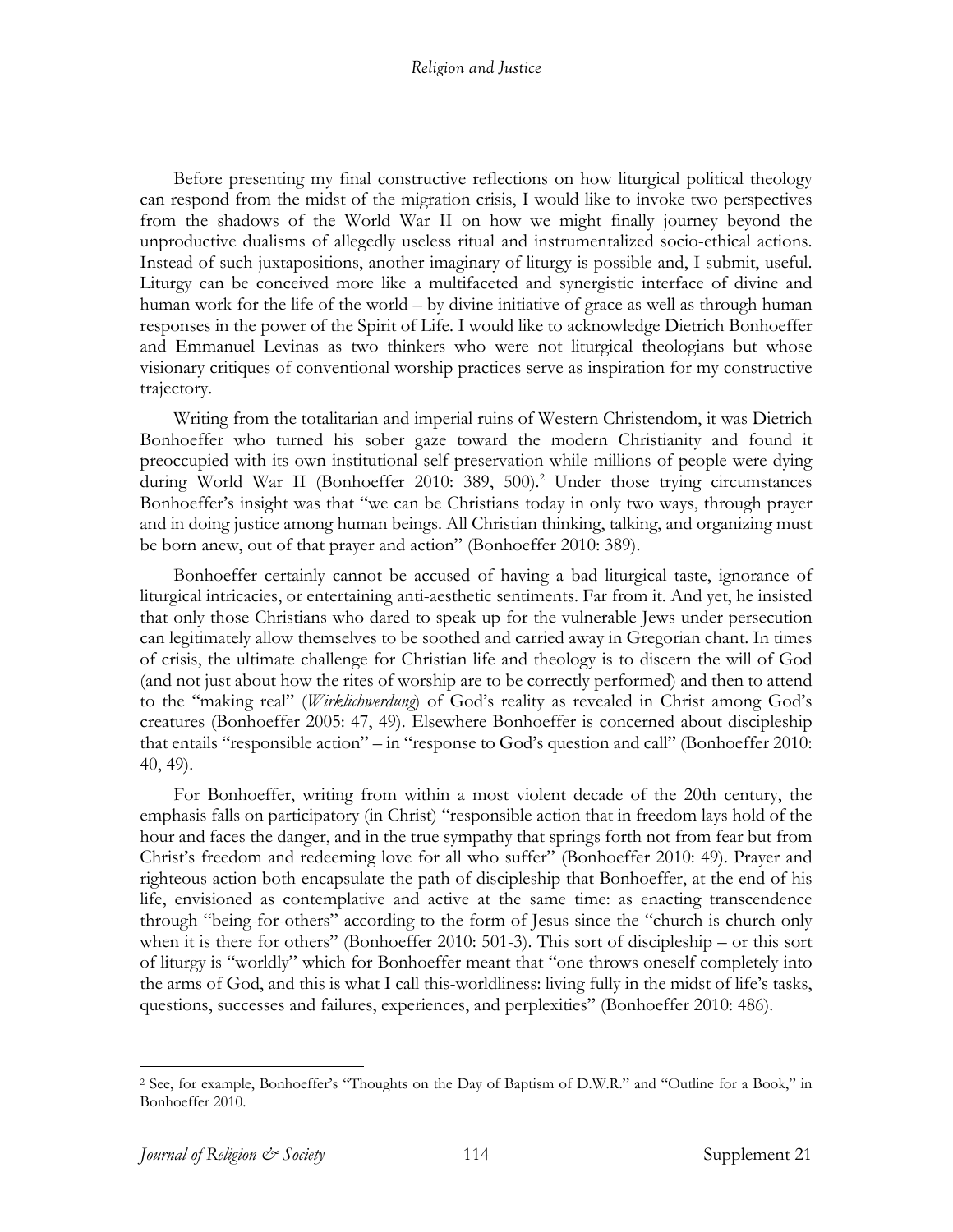Before presenting my final constructive reflections on how liturgical political theology can respond from the midst of the migration crisis, I would like to invoke two perspectives from the shadows of the World War II on how we might finally journey beyond the unproductive dualisms of allegedly useless ritual and instrumentalized socio-ethical actions. Instead of such juxtapositions, another imaginary of liturgy is possible and, I submit, useful. Liturgy can be conceived more like a multifaceted and synergistic interface of divine and human work for the life of the world – by divine initiative of grace as well as through human responses in the power of the Spirit of Life. I would like to acknowledge Dietrich Bonhoeffer and Emmanuel Levinas as two thinkers who were not liturgical theologians but whose visionary critiques of conventional worship practices serve as inspiration for my constructive trajectory.

Writing from the totalitarian and imperial ruins of Western Christendom, it was Dietrich Bonhoeffer who turned his sober gaze toward the modern Christianity and found it preoccupied with its own institutional self-preservation while millions of people were dying during World War II (Bonhoeffer 2010: 389, 500). <sup>2</sup> Under those trying circumstances Bonhoeffer's insight was that "we can be Christians today in only two ways, through prayer and in doing justice among human beings. All Christian thinking, talking, and organizing must be born anew, out of that prayer and action" (Bonhoeffer 2010: 389).

Bonhoeffer certainly cannot be accused of having a bad liturgical taste, ignorance of liturgical intricacies, or entertaining anti-aesthetic sentiments. Far from it. And yet, he insisted that only those Christians who dared to speak up for the vulnerable Jews under persecution can legitimately allow themselves to be soothed and carried away in Gregorian chant. In times of crisis, the ultimate challenge for Christian life and theology is to discern the will of God (and not just about how the rites of worship are to be correctly performed) and then to attend to the "making real" (*Wirklichwerdung*) of God's reality as revealed in Christ among God's creatures (Bonhoeffer 2005: 47, 49). Elsewhere Bonhoeffer is concerned about discipleship that entails "responsible action" – in "response to God's question and call" (Bonhoeffer 2010: 40, 49).

For Bonhoeffer, writing from within a most violent decade of the 20th century, the emphasis falls on participatory (in Christ) "responsible action that in freedom lays hold of the hour and faces the danger, and in the true sympathy that springs forth not from fear but from Christ's freedom and redeeming love for all who suffer" (Bonhoeffer 2010: 49). Prayer and righteous action both encapsulate the path of discipleship that Bonhoeffer, at the end of his life, envisioned as contemplative and active at the same time: as enacting transcendence through "being-for-others" according to the form of Jesus since the "church is church only when it is there for others" (Bonhoeffer 2010: 501-3). This sort of discipleship – or this sort of liturgy is "worldly" which for Bonhoeffer meant that "one throws oneself completely into the arms of God, and this is what I call this-worldliness: living fully in the midst of life's tasks, questions, successes and failures, experiences, and perplexities" (Bonhoeffer 2010: 486).

<sup>2</sup> See, for example, Bonhoeffer's "Thoughts on the Day of Baptism of D.W.R." and "Outline for a Book," in Bonhoeffer 2010.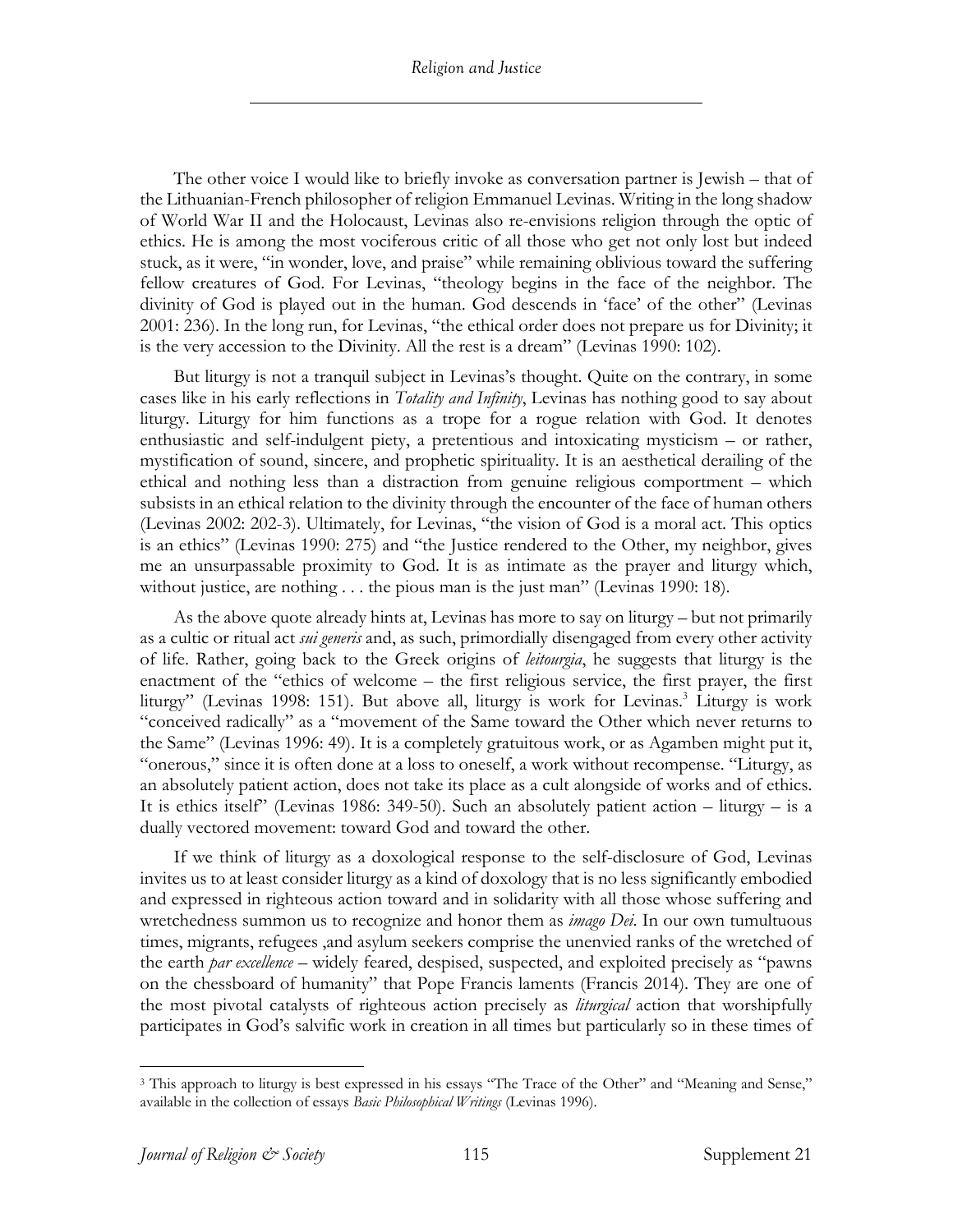The other voice I would like to briefly invoke as conversation partner is Jewish – that of the Lithuanian-French philosopher of religion Emmanuel Levinas. Writing in the long shadow of World War II and the Holocaust, Levinas also re-envisions religion through the optic of ethics. He is among the most vociferous critic of all those who get not only lost but indeed stuck, as it were, "in wonder, love, and praise" while remaining oblivious toward the suffering fellow creatures of God. For Levinas, "theology begins in the face of the neighbor. The divinity of God is played out in the human. God descends in 'face' of the other" (Levinas 2001: 236). In the long run, for Levinas, "the ethical order does not prepare us for Divinity; it is the very accession to the Divinity. All the rest is a dream" (Levinas 1990: 102).

But liturgy is not a tranquil subject in Levinas's thought. Quite on the contrary, in some cases like in his early reflections in *Totality and Infinity*, Levinas has nothing good to say about liturgy. Liturgy for him functions as a trope for a rogue relation with God. It denotes enthusiastic and self-indulgent piety, a pretentious and intoxicating mysticism – or rather, mystification of sound, sincere, and prophetic spirituality. It is an aesthetical derailing of the ethical and nothing less than a distraction from genuine religious comportment – which subsists in an ethical relation to the divinity through the encounter of the face of human others (Levinas 2002: 202-3). Ultimately, for Levinas, "the vision of God is a moral act. This optics is an ethics" (Levinas 1990: 275) and "the Justice rendered to the Other, my neighbor, gives me an unsurpassable proximity to God. It is as intimate as the prayer and liturgy which, without justice, are nothing . . . the pious man is the just man" (Levinas 1990: 18).

As the above quote already hints at, Levinas has more to say on liturgy – but not primarily as a cultic or ritual act *sui generis* and, as such, primordially disengaged from every other activity of life. Rather, going back to the Greek origins of *leitourgia*, he suggests that liturgy is the enactment of the "ethics of welcome – the first religious service, the first prayer, the first liturgy" (Levinas 1998: 151). But above all, liturgy is work for Levinas.3 Liturgy is work "conceived radically" as a "movement of the Same toward the Other which never returns to the Same" (Levinas 1996: 49). It is a completely gratuitous work, or as Agamben might put it, "onerous," since it is often done at a loss to oneself, a work without recompense. "Liturgy, as an absolutely patient action, does not take its place as a cult alongside of works and of ethics. It is ethics itself" (Levinas 1986: 349-50). Such an absolutely patient action – liturgy – is a dually vectored movement: toward God and toward the other.

If we think of liturgy as a doxological response to the self-disclosure of God, Levinas invites us to at least consider liturgy as a kind of doxology that is no less significantly embodied and expressed in righteous action toward and in solidarity with all those whose suffering and wretchedness summon us to recognize and honor them as *imago Dei*. In our own tumultuous times, migrants, refugees ,and asylum seekers comprise the unenvied ranks of the wretched of the earth *par excellence* – widely feared, despised, suspected, and exploited precisely as "pawns on the chessboard of humanity" that Pope Francis laments (Francis 2014). They are one of the most pivotal catalysts of righteous action precisely as *liturgical* action that worshipfully participates in God's salvific work in creation in all times but particularly so in these times of

<sup>3</sup> This approach to liturgy is best expressed in his essays "The Trace of the Other" and "Meaning and Sense," available in the collection of essays *Basic Philosophical Writings* (Levinas 1996).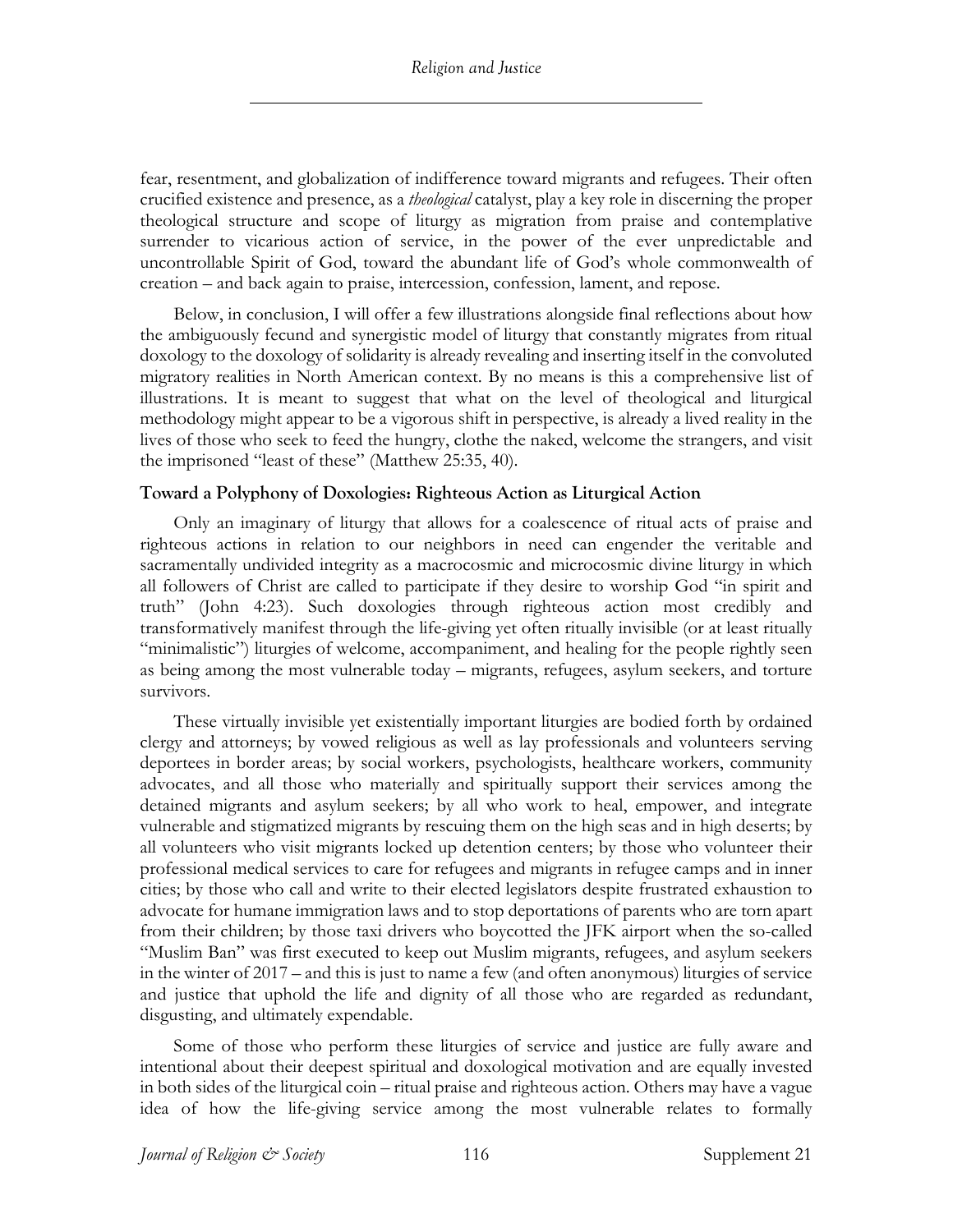fear, resentment, and globalization of indifference toward migrants and refugees. Their often crucified existence and presence, as a *theological* catalyst, play a key role in discerning the proper theological structure and scope of liturgy as migration from praise and contemplative surrender to vicarious action of service, in the power of the ever unpredictable and uncontrollable Spirit of God, toward the abundant life of God's whole commonwealth of creation – and back again to praise, intercession, confession, lament, and repose.

Below, in conclusion, I will offer a few illustrations alongside final reflections about how the ambiguously fecund and synergistic model of liturgy that constantly migrates from ritual doxology to the doxology of solidarity is already revealing and inserting itself in the convoluted migratory realities in North American context. By no means is this a comprehensive list of illustrations. It is meant to suggest that what on the level of theological and liturgical methodology might appear to be a vigorous shift in perspective, is already a lived reality in the lives of those who seek to feed the hungry, clothe the naked, welcome the strangers, and visit the imprisoned "least of these" (Matthew 25:35, 40).

# **Toward a Polyphony of Doxologies: Righteous Action as Liturgical Action**

Only an imaginary of liturgy that allows for a coalescence of ritual acts of praise and righteous actions in relation to our neighbors in need can engender the veritable and sacramentally undivided integrity as a macrocosmic and microcosmic divine liturgy in which all followers of Christ are called to participate if they desire to worship God "in spirit and truth" (John 4:23). Such doxologies through righteous action most credibly and transformatively manifest through the life-giving yet often ritually invisible (or at least ritually "minimalistic") liturgies of welcome, accompaniment, and healing for the people rightly seen as being among the most vulnerable today – migrants, refugees, asylum seekers, and torture survivors.

These virtually invisible yet existentially important liturgies are bodied forth by ordained clergy and attorneys; by vowed religious as well as lay professionals and volunteers serving deportees in border areas; by social workers, psychologists, healthcare workers, community advocates, and all those who materially and spiritually support their services among the detained migrants and asylum seekers; by all who work to heal, empower, and integrate vulnerable and stigmatized migrants by rescuing them on the high seas and in high deserts; by all volunteers who visit migrants locked up detention centers; by those who volunteer their professional medical services to care for refugees and migrants in refugee camps and in inner cities; by those who call and write to their elected legislators despite frustrated exhaustion to advocate for humane immigration laws and to stop deportations of parents who are torn apart from their children; by those taxi drivers who boycotted the JFK airport when the so-called "Muslim Ban" was first executed to keep out Muslim migrants, refugees, and asylum seekers in the winter of 2017 – and this is just to name a few (and often anonymous) liturgies of service and justice that uphold the life and dignity of all those who are regarded as redundant, disgusting, and ultimately expendable.

Some of those who perform these liturgies of service and justice are fully aware and intentional about their deepest spiritual and doxological motivation and are equally invested in both sides of the liturgical coin – ritual praise and righteous action. Others may have a vague idea of how the life-giving service among the most vulnerable relates to formally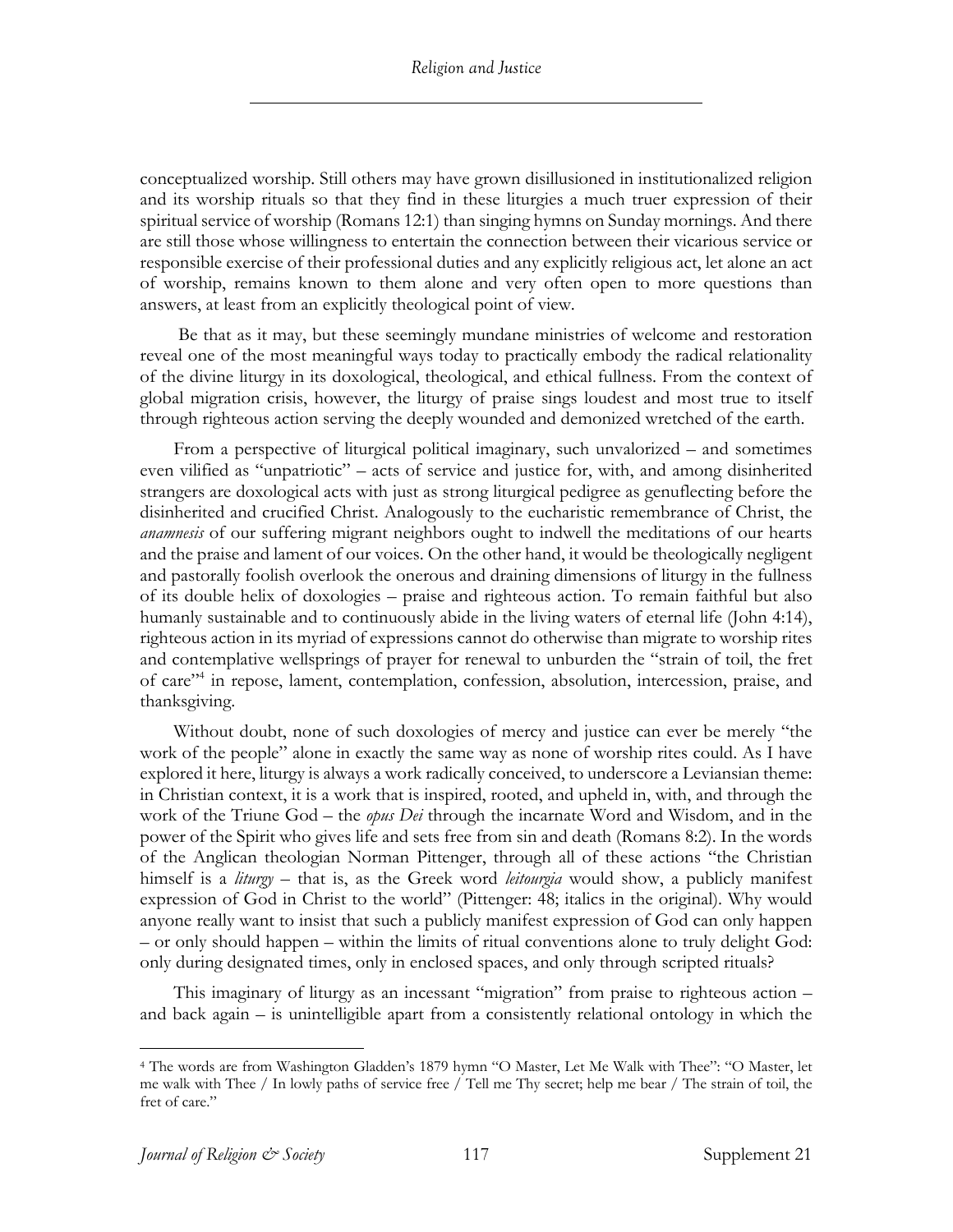conceptualized worship. Still others may have grown disillusioned in institutionalized religion and its worship rituals so that they find in these liturgies a much truer expression of their spiritual service of worship (Romans 12:1) than singing hymns on Sunday mornings. And there are still those whose willingness to entertain the connection between their vicarious service or responsible exercise of their professional duties and any explicitly religious act, let alone an act of worship, remains known to them alone and very often open to more questions than answers, at least from an explicitly theological point of view.

Be that as it may, but these seemingly mundane ministries of welcome and restoration reveal one of the most meaningful ways today to practically embody the radical relationality of the divine liturgy in its doxological, theological, and ethical fullness. From the context of global migration crisis, however, the liturgy of praise sings loudest and most true to itself through righteous action serving the deeply wounded and demonized wretched of the earth.

From a perspective of liturgical political imaginary, such unvalorized – and sometimes even vilified as "unpatriotic" – acts of service and justice for, with, and among disinherited strangers are doxological acts with just as strong liturgical pedigree as genuflecting before the disinherited and crucified Christ. Analogously to the eucharistic remembrance of Christ, the *anamnesis* of our suffering migrant neighbors ought to indwell the meditations of our hearts and the praise and lament of our voices. On the other hand, it would be theologically negligent and pastorally foolish overlook the onerous and draining dimensions of liturgy in the fullness of its double helix of doxologies – praise and righteous action. To remain faithful but also humanly sustainable and to continuously abide in the living waters of eternal life (John 4:14), righteous action in its myriad of expressions cannot do otherwise than migrate to worship rites and contemplative wellsprings of prayer for renewal to unburden the "strain of toil, the fret of care"4 in repose, lament, contemplation, confession, absolution, intercession, praise, and thanksgiving.

Without doubt, none of such doxologies of mercy and justice can ever be merely "the work of the people" alone in exactly the same way as none of worship rites could. As I have explored it here, liturgy is always a work radically conceived, to underscore a Leviansian theme: in Christian context, it is a work that is inspired, rooted, and upheld in, with, and through the work of the Triune God – the *opus Dei* through the incarnate Word and Wisdom, and in the power of the Spirit who gives life and sets free from sin and death (Romans 8:2). In the words of the Anglican theologian Norman Pittenger, through all of these actions "the Christian himself is a *liturgy* – that is, as the Greek word *leitourgia* would show, a publicly manifest expression of God in Christ to the world" (Pittenger: 48; italics in the original). Why would anyone really want to insist that such a publicly manifest expression of God can only happen – or only should happen – within the limits of ritual conventions alone to truly delight God: only during designated times, only in enclosed spaces, and only through scripted rituals?

This imaginary of liturgy as an incessant "migration" from praise to righteous action – and back again – is unintelligible apart from a consistently relational ontology in which the

<sup>4</sup> The words are from Washington Gladden's 1879 hymn "O Master, Let Me Walk with Thee": "O Master, let me walk with Thee / In lowly paths of service free / Tell me Thy secret; help me bear / The strain of toil, the fret of care."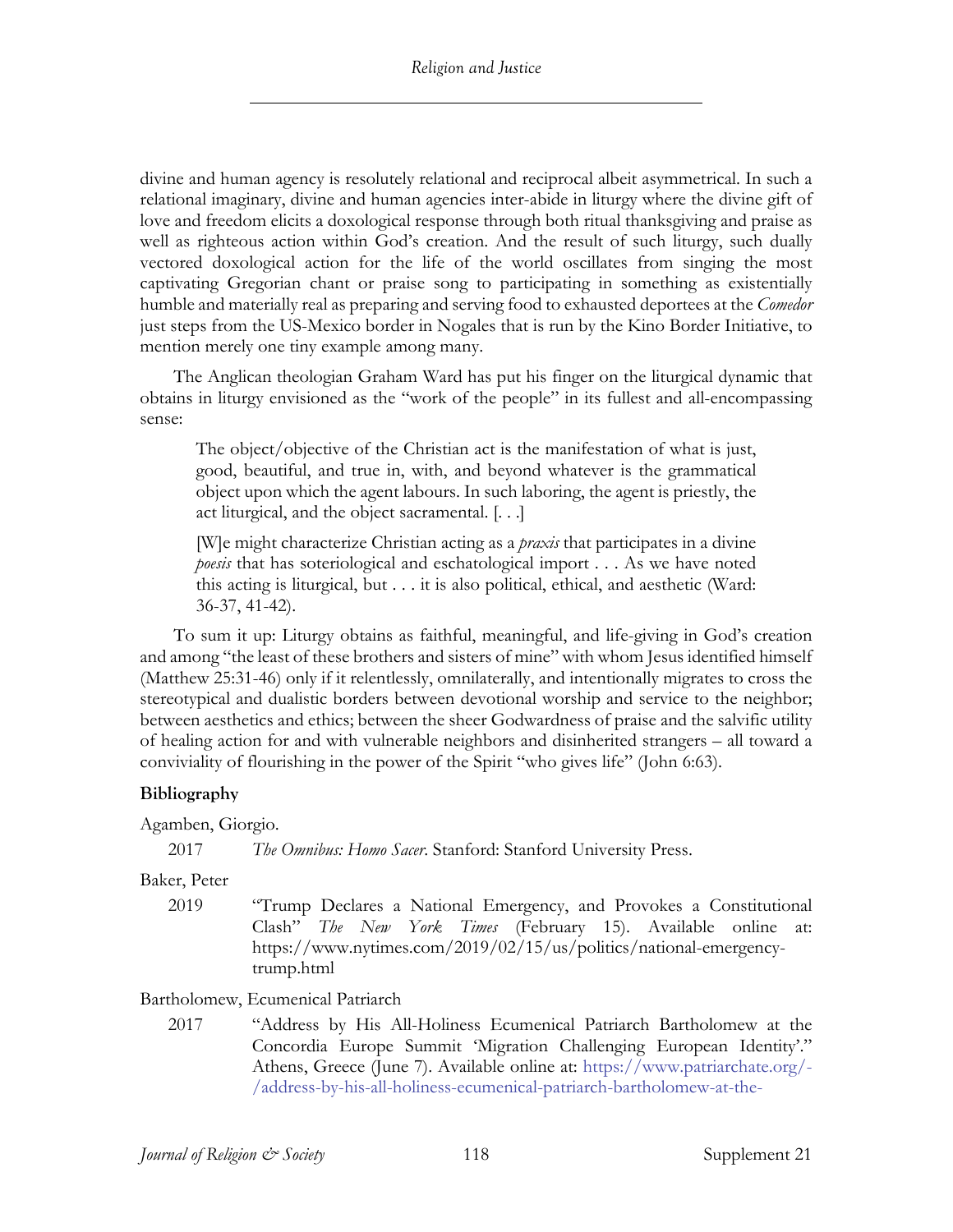divine and human agency is resolutely relational and reciprocal albeit asymmetrical. In such a relational imaginary, divine and human agencies inter-abide in liturgy where the divine gift of love and freedom elicits a doxological response through both ritual thanksgiving and praise as well as righteous action within God's creation. And the result of such liturgy, such dually vectored doxological action for the life of the world oscillates from singing the most captivating Gregorian chant or praise song to participating in something as existentially humble and materially real as preparing and serving food to exhausted deportees at the *Comedor*  just steps from the US-Mexico border in Nogales that is run by the Kino Border Initiative, to mention merely one tiny example among many.

The Anglican theologian Graham Ward has put his finger on the liturgical dynamic that obtains in liturgy envisioned as the "work of the people" in its fullest and all-encompassing sense:

The object/objective of the Christian act is the manifestation of what is just, good, beautiful, and true in, with, and beyond whatever is the grammatical object upon which the agent labours. In such laboring, the agent is priestly, the act liturgical, and the object sacramental. [. . .]

[W]e might characterize Christian acting as a *praxis* that participates in a divine *poesis* that has soteriological and eschatological import . . . As we have noted this acting is liturgical, but . . . it is also political, ethical, and aesthetic (Ward: 36-37, 41-42).

To sum it up: Liturgy obtains as faithful, meaningful, and life-giving in God's creation and among "the least of these brothers and sisters of mine" with whom Jesus identified himself (Matthew 25:31-46) only if it relentlessly, omnilaterally, and intentionally migrates to cross the stereotypical and dualistic borders between devotional worship and service to the neighbor; between aesthetics and ethics; between the sheer Godwardness of praise and the salvific utility of healing action for and with vulnerable neighbors and disinherited strangers – all toward a conviviality of flourishing in the power of the Spirit "who gives life" (John 6:63).

# **Bibliography**

Agamben, Giorgio.

2017 *The Omnibus: Homo Sacer*. Stanford: Stanford University Press.

Baker, Peter

2019 "Trump Declares a National Emergency, and Provokes a Constitutional Clash" *The New York Times* (February 15). Available online at: https://www.nytimes.com/2019/02/15/us/politics/national-emergencytrump.html

Bartholomew, Ecumenical Patriarch

2017 "Address by His All-Holiness Ecumenical Patriarch Bartholomew at the Concordia Europe Summit 'Migration Challenging European Identity'." Athens, Greece (June 7). Available online at: https://www.patriarchate.org/- /address-by-his-all-holiness-ecumenical-patriarch-bartholomew-at-the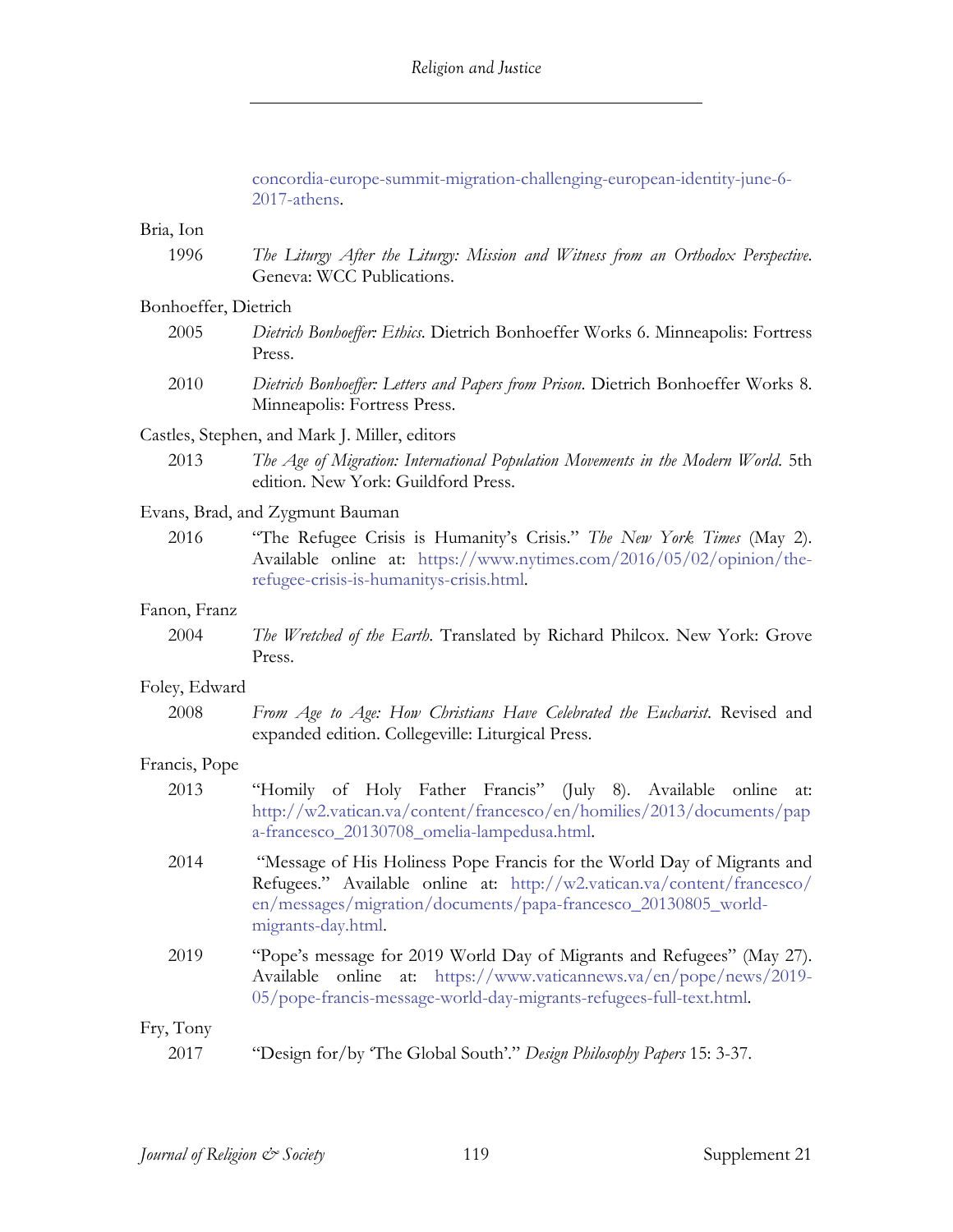concordia-europe-summit-migration-challenging-european-identity-june-6-

|                                               | 2017-athens.                                                                                                                                                                                                                               |  |
|-----------------------------------------------|--------------------------------------------------------------------------------------------------------------------------------------------------------------------------------------------------------------------------------------------|--|
| Bria, Ion                                     |                                                                                                                                                                                                                                            |  |
| 1996                                          | The Liturgy After the Liturgy: Mission and Witness from an Orthodox Perspective.<br>Geneva: WCC Publications.                                                                                                                              |  |
| Bonhoeffer, Dietrich                          |                                                                                                                                                                                                                                            |  |
| 2005                                          | Dietrich Bonhoeffer: Ethics. Dietrich Bonhoeffer Works 6. Minneapolis: Fortress<br>Press.                                                                                                                                                  |  |
| 2010                                          | Dietrich Bonhoeffer: Letters and Papers from Prison. Dietrich Bonhoeffer Works 8.<br>Minneapolis: Fortress Press.                                                                                                                          |  |
| Castles, Stephen, and Mark J. Miller, editors |                                                                                                                                                                                                                                            |  |
| 2013                                          | The Age of Migration: International Population Movements in the Modern World. 5th<br>edition. New York: Guildford Press.                                                                                                                   |  |
| Evans, Brad, and Zygmunt Bauman               |                                                                                                                                                                                                                                            |  |
| 2016                                          | "The Refugee Crisis is Humanity's Crisis." The New York Times (May 2).<br>Available online at: https://www.nytimes.com/2016/05/02/opinion/the-<br>refugee-crisis-is-humanitys-crisis.html.                                                 |  |
| Fanon, Franz                                  |                                                                                                                                                                                                                                            |  |
| 2004                                          | The Wretched of the Earth. Translated by Richard Philcox. New York: Grove<br>Press.                                                                                                                                                        |  |
| Foley, Edward                                 |                                                                                                                                                                                                                                            |  |
| 2008                                          | From Age to Age: How Christians Have Celebrated the Eucharist. Revised and<br>expanded edition. Collegeville: Liturgical Press.                                                                                                            |  |
| Francis, Pope                                 |                                                                                                                                                                                                                                            |  |
| 2013                                          | "Homily of Holy Father Francis" (July 8). Available online<br>at:<br>http://w2.vatican.va/content/francesco/en/homilies/2013/documents/pap<br>a-francesco_20130708_omelia-lampedusa.html.                                                  |  |
| 2014                                          | "Message of His Holiness Pope Francis for the World Day of Migrants and<br>Refugees." Available online at: http://w2.vatican.va/content/francesco/<br>en/messages/migration/documents/papa-francesco_20130805_world-<br>migrants-day.html. |  |
| 2019                                          | "Pope's message for 2019 World Day of Migrants and Refugees" (May 27).<br>at: https://www.vaticannews.va/en/pope/news/2019-<br>online<br>Available<br>05/pope-francis-message-world-day-migrants-refugees-full-text.html.                  |  |
| Fry, Tony                                     |                                                                                                                                                                                                                                            |  |
| 2017                                          | "Design for/by 'The Global South'." Design Philosophy Papers 15: 3-37.                                                                                                                                                                     |  |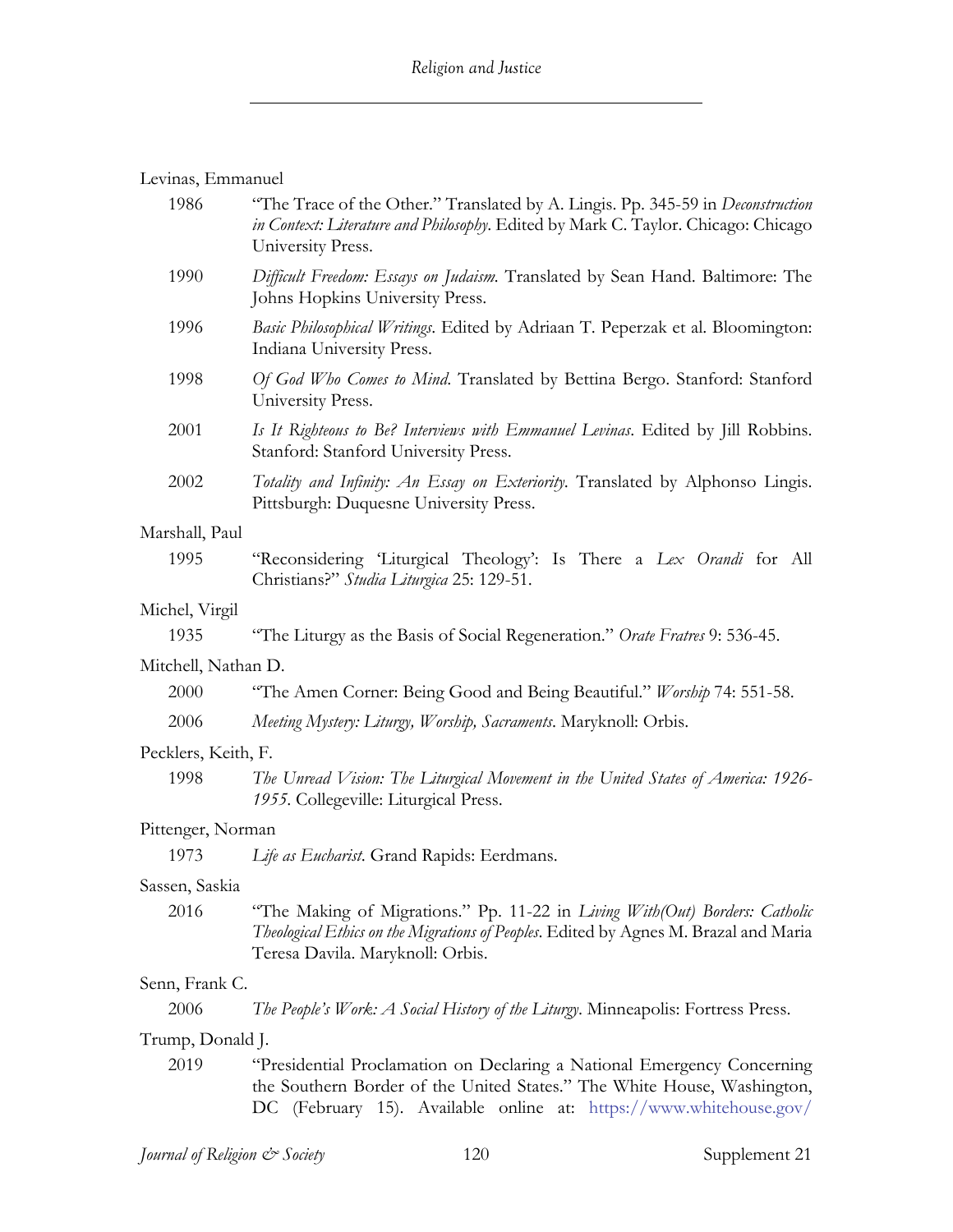# Levinas, Emmanuel

| 1986                | "The Trace of the Other." Translated by A. Lingis. Pp. 345-59 in Deconstruction<br>in Context: Literature and Philosophy. Edited by Mark C. Taylor. Chicago: Chicago<br>University Press.                                |  |
|---------------------|--------------------------------------------------------------------------------------------------------------------------------------------------------------------------------------------------------------------------|--|
| 1990                | Difficult Freedom: Essays on Judaism. Translated by Sean Hand. Baltimore: The<br>Johns Hopkins University Press.                                                                                                         |  |
| 1996                | Basic Philosophical Writings. Edited by Adriaan T. Peperzak et al. Bloomington:<br>Indiana University Press.                                                                                                             |  |
| 1998                | Of God Who Comes to Mind. Translated by Bettina Bergo. Stanford: Stanford<br>University Press.                                                                                                                           |  |
| 2001                | Is It Righteous to Be? Interviews with Emmanuel Levinas. Edited by Jill Robbins.<br>Stanford: Stanford University Press.                                                                                                 |  |
| 2002                | Totality and Infinity: An Essay on Exteriority. Translated by Alphonso Lingis.<br>Pittsburgh: Duquesne University Press.                                                                                                 |  |
| Marshall, Paul      |                                                                                                                                                                                                                          |  |
| 1995                | "Reconsidering 'Liturgical Theology': Is There a Lex Orandi for All<br>Christians?" Studia Liturgica 25: 129-51.                                                                                                         |  |
| Michel, Virgil      |                                                                                                                                                                                                                          |  |
| 1935                | "The Liturgy as the Basis of Social Regeneration." Orate Fratres 9: 536-45.                                                                                                                                              |  |
| Mitchell, Nathan D. |                                                                                                                                                                                                                          |  |
| 2000                | "The Amen Corner: Being Good and Being Beautiful." Worship 74: 551-58.                                                                                                                                                   |  |
| 2006                | Meeting Mystery: Liturgy, Worship, Sacraments. Maryknoll: Orbis.                                                                                                                                                         |  |
| Pecklers, Keith, F. |                                                                                                                                                                                                                          |  |
| 1998                | The Unread Vision: The Liturgical Movement in the United States of America: 1926-<br>1955. Collegeville: Liturgical Press.                                                                                               |  |
| Pittenger, Norman   |                                                                                                                                                                                                                          |  |
| 1973                | Life as Eucharist. Grand Rapids: Eerdmans.                                                                                                                                                                               |  |
| Sassen, Saskia      |                                                                                                                                                                                                                          |  |
| 2016                | "The Making of Migrations." Pp. 11-22 in Living With(Out) Borders: Catholic<br>Theological Ethics on the Migrations of Peoples. Edited by Agnes M. Brazal and Maria<br>Teresa Davila. Maryknoll: Orbis.                  |  |
| Senn, Frank C.      |                                                                                                                                                                                                                          |  |
| 2006                | <i>The People's Work: A Social History of the Liturgy. Minneapolis: Fortress Press.</i>                                                                                                                                  |  |
| Trump, Donald J.    |                                                                                                                                                                                                                          |  |
| 2019                | "Presidential Proclamation on Declaring a National Emergency Concerning<br>the Southern Border of the United States." The White House, Washington,<br>DC (February 15). Available online at: https://www.whitehouse.gov/ |  |
|                     |                                                                                                                                                                                                                          |  |